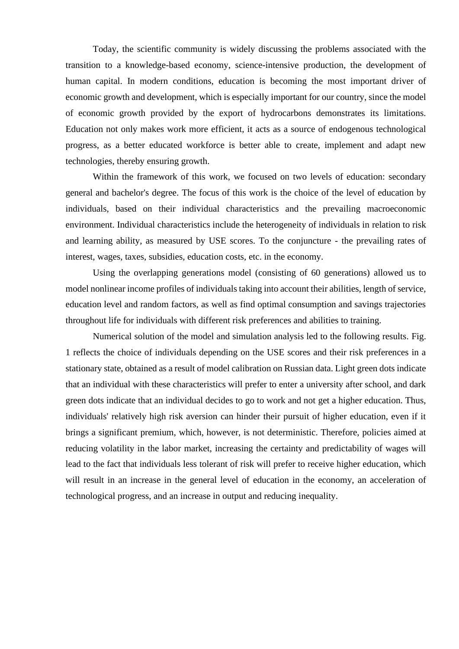Today, the scientific community is widely discussing the problems associated with the transition to a knowledge-based economy, science-intensive production, the development of human capital. In modern conditions, education is becoming the most important driver of economic growth and development, which is especially important for our country, since the model of economic growth provided by the export of hydrocarbons demonstrates its limitations. Education not only makes work more efficient, it acts as a source of endogenous technological progress, as a better educated workforce is better able to create, implement and adapt new technologies, thereby ensuring growth.

Within the framework of this work, we focused on two levels of education: secondary general and bachelor's degree. The focus of this work is the choice of the level of education by individuals, based on their individual characteristics and the prevailing macroeconomic environment. Individual characteristics include the heterogeneity of individuals in relation to risk and learning ability, as measured by USE scores. To the conjuncture - the prevailing rates of interest, wages, taxes, subsidies, education costs, etc. in the economy.

Using the overlapping generations model (consisting of 60 generations) allowed us to model nonlinear income profiles of individuals taking into account their abilities, length of service, education level and random factors, as well as find optimal consumption and savings trajectories throughout life for individuals with different risk preferences and abilities to training.

Numerical solution of the model and simulation analysis led to the following results. Fig. 1 reflects the choice of individuals depending on the USE scores and their risk preferences in a stationary state, obtained as a result of model calibration on Russian data. Light green dots indicate that an individual with these characteristics will prefer to enter a university after school, and dark green dots indicate that an individual decides to go to work and not get a higher education. Thus, individuals' relatively high risk aversion can hinder their pursuit of higher education, even if it brings a significant premium, which, however, is not deterministic. Therefore, policies aimed at reducing volatility in the labor market, increasing the certainty and predictability of wages will lead to the fact that individuals less tolerant of risk will prefer to receive higher education, which will result in an increase in the general level of education in the economy, an acceleration of technological progress, and an increase in output and reducing inequality.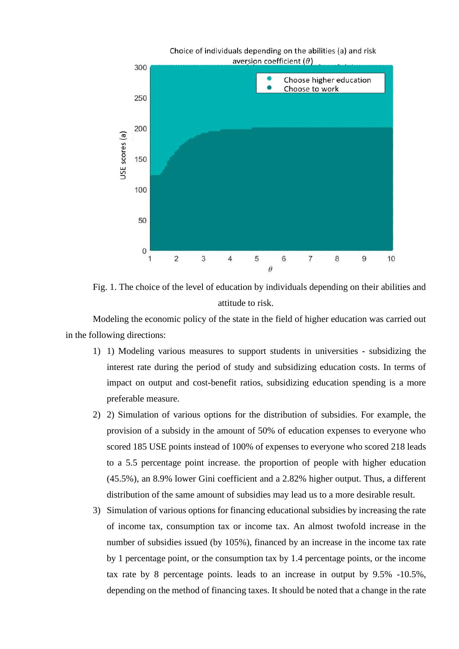

Fig. 1. The choice of the level of education by individuals depending on their abilities and attitude to risk.

Modeling the economic policy of the state in the field of higher education was carried out in the following directions:

- 1) 1) Modeling various measures to support students in universities subsidizing the interest rate during the period of study and subsidizing education costs. In terms of impact on output and cost-benefit ratios, subsidizing education spending is a more preferable measure.
- 2) 2) Simulation of various options for the distribution of subsidies. For example, the provision of a subsidy in the amount of 50% of education expenses to everyone who scored 185 USE points instead of 100% of expenses to everyone who scored 218 leads to a 5.5 percentage point increase. the proportion of people with higher education (45.5%), an 8.9% lower Gini coefficient and a 2.82% higher output. Thus, a different distribution of the same amount of subsidies may lead us to a more desirable result.
- 3) Simulation of various options for financing educational subsidies by increasing the rate of income tax, consumption tax or income tax. An almost twofold increase in the number of subsidies issued (by 105%), financed by an increase in the income tax rate by 1 percentage point, or the consumption tax by 1.4 percentage points, or the income tax rate by 8 percentage points. leads to an increase in output by 9.5% -10.5%, depending on the method of financing taxes. It should be noted that a change in the rate